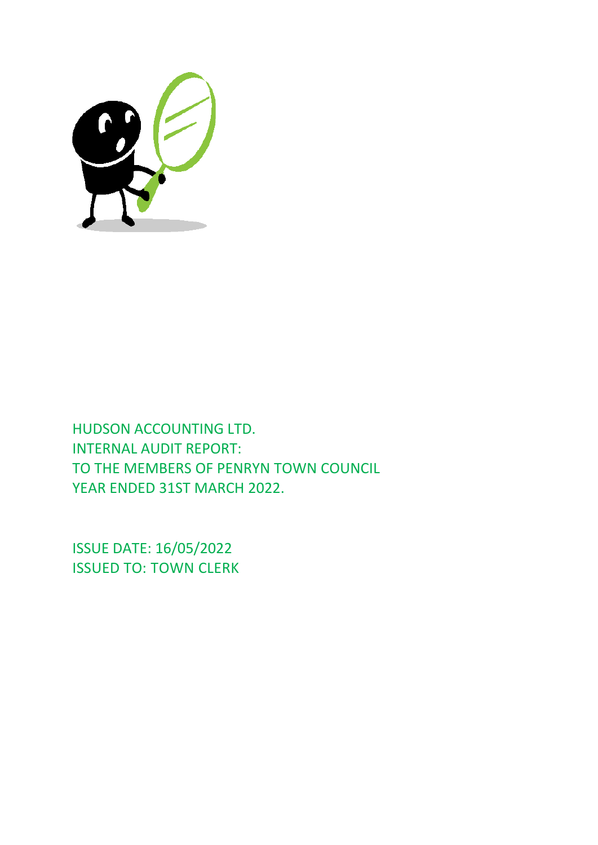

HUDSON ACCOUNTING LTD. INTERNAL AUDIT REPORT: TO THE MEMBERS OF PENRYN TOWN COUNCIL YEAR ENDED 31ST MARCH 2022.

ISSUE DATE: 16/05/2022 ISSUED TO: TOWN CLERK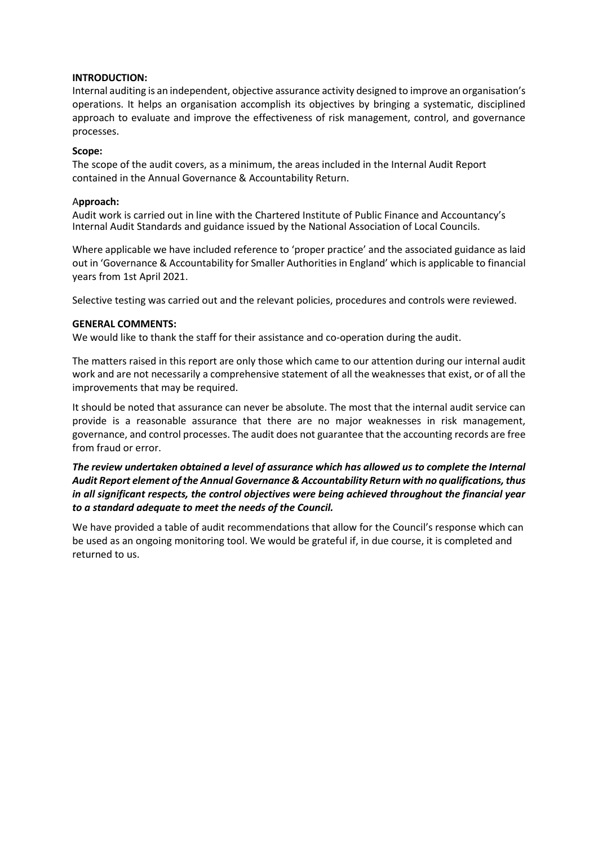## **INTRODUCTION:**

Internal auditing is an independent, objective assurance activity designed to improve an organisation's operations. It helps an organisation accomplish its objectives by bringing a systematic, disciplined approach to evaluate and improve the effectiveness of risk management, control, and governance processes.

## **Scope:**

The scope of the audit covers, as a minimum, the areas included in the Internal Audit Report contained in the Annual Governance & Accountability Return.

## A**pproach:**

Audit work is carried out in line with the Chartered Institute of Public Finance and Accountancy's Internal Audit Standards and guidance issued by the National Association of Local Councils.

Where applicable we have included reference to 'proper practice' and the associated guidance as laid out in 'Governance & Accountability for Smaller Authorities in England' which is applicable to financial years from 1st April 2021.

Selective testing was carried out and the relevant policies, procedures and controls were reviewed.

## **GENERAL COMMENTS:**

We would like to thank the staff for their assistance and co-operation during the audit.

The matters raised in this report are only those which came to our attention during our internal audit work and are not necessarily a comprehensive statement of all the weaknesses that exist, or of all the improvements that may be required.

It should be noted that assurance can never be absolute. The most that the internal audit service can provide is a reasonable assurance that there are no major weaknesses in risk management, governance, and control processes. The audit does not guarantee that the accounting records are free from fraud or error.

## *The review undertaken obtained a level of assurance which has allowed us to complete the Internal Audit Report element of the Annual Governance & Accountability Return with no qualifications, thus in all significant respects, the control objectives were being achieved throughout the financial year to a standard adequate to meet the needs of the Council.*

We have provided a table of audit recommendations that allow for the Council's response which can be used as an ongoing monitoring tool. We would be grateful if, in due course, it is completed and returned to us.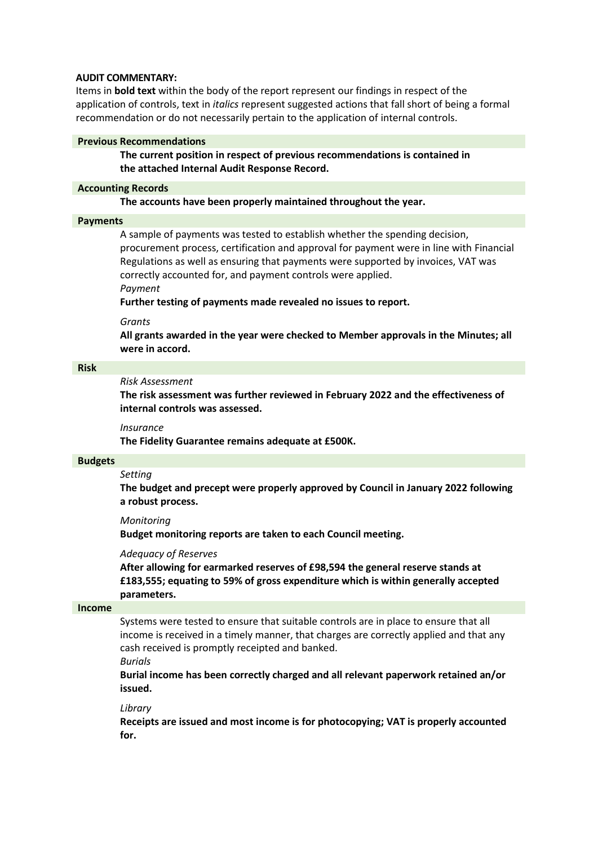## **AUDIT COMMENTARY:**

Items in **bold text** within the body of the report represent our findings in respect of the application of controls, text in *italics* represent suggested actions that fall short of being a formal recommendation or do not necessarily pertain to the application of internal controls.

#### **Previous Recommendations**

**The current position in respect of previous recommendations is contained in the attached Internal Audit Response Record.**

#### **Accounting Records**

**The accounts have been properly maintained throughout the year.**

#### **Payments**

A sample of payments was tested to establish whether the spending decision, procurement process, certification and approval for payment were in line with Financial Regulations as well as ensuring that payments were supported by invoices, VAT was correctly accounted for, and payment controls were applied.

*Payment*

**Further testing of payments made revealed no issues to report.**

*Grants*

**All grants awarded in the year were checked to Member approvals in the Minutes; all were in accord.**

### **Risk**

## *Risk Assessment*

**The risk assessment was further reviewed in February 2022 and the effectiveness of internal controls was assessed.**

#### *Insurance*

**The Fidelity Guarantee remains adequate at £500K.**

#### **Budgets**

#### *Setting*

**The budget and precept were properly approved by Council in January 2022 following a robust process.**

#### *Monitoring*

**Budget monitoring reports are taken to each Council meeting.**

#### *Adequacy of Reserves*

**After allowing for earmarked reserves of £98,594 the general reserve stands at £183,555; equating to 59% of gross expenditure which is within generally accepted parameters.**

#### **Income**

Systems were tested to ensure that suitable controls are in place to ensure that all income is received in a timely manner, that charges are correctly applied and that any cash received is promptly receipted and banked.

*Burials* **Burial income has been correctly charged and all relevant paperwork retained an/or issued.**

#### *Library*

**Receipts are issued and most income is for photocopying; VAT is properly accounted for.**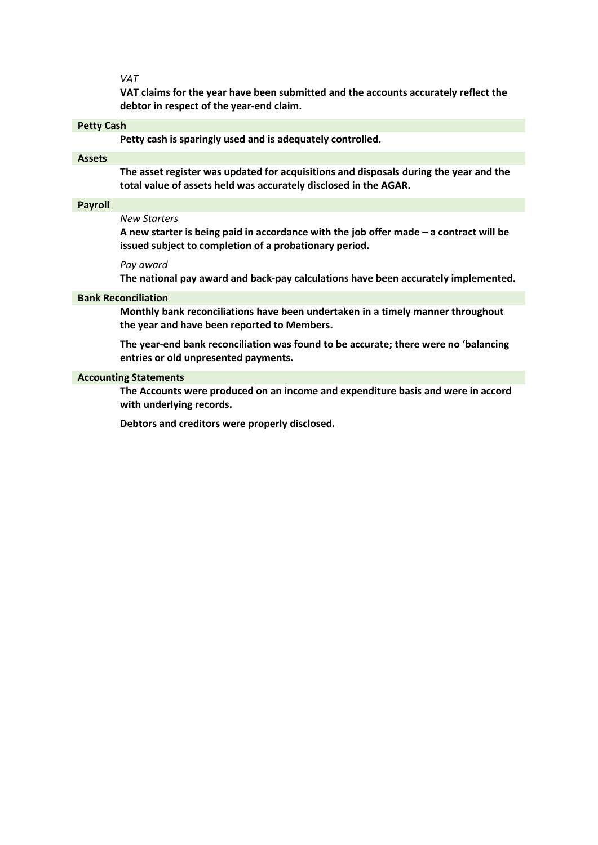*VAT*

**VAT claims for the year have been submitted and the accounts accurately reflect the debtor in respect of the year-end claim.**

## **Petty Cash**

**Petty cash is sparingly used and is adequately controlled.**

#### **Assets**

**The asset register was updated for acquisitions and disposals during the year and the total value of assets held was accurately disclosed in the AGAR.**

#### **Payroll**

## *New Starters*

**A new starter is being paid in accordance with the job offer made – a contract will be issued subject to completion of a probationary period.**

#### *Pay award*

**The national pay award and back-pay calculations have been accurately implemented.**

#### **Bank Reconciliation**

**Monthly bank reconciliations have been undertaken in a timely manner throughout the year and have been reported to Members.**

**The year-end bank reconciliation was found to be accurate; there were no 'balancing entries or old unpresented payments.**

#### **Accounting Statements**

**The Accounts were produced on an income and expenditure basis and were in accord with underlying records.**

**Debtors and creditors were properly disclosed.**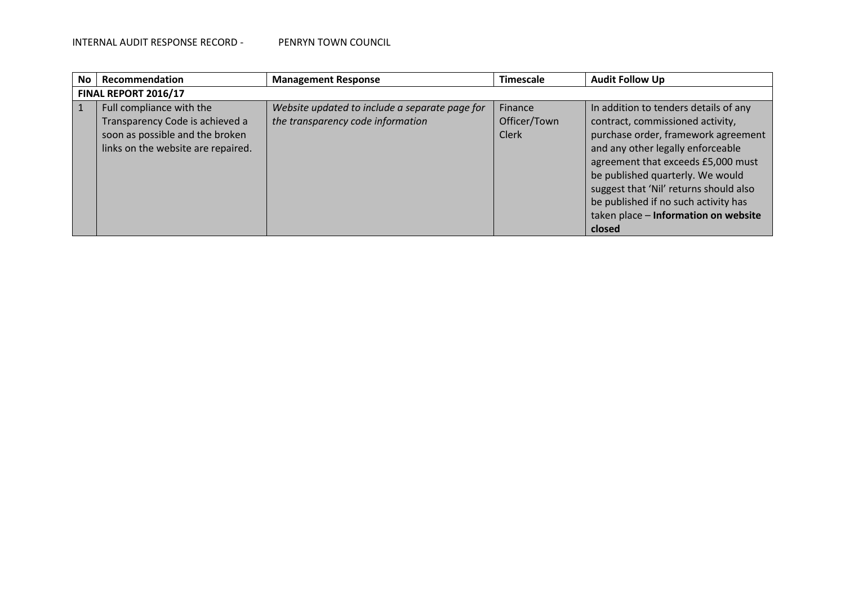| No. | Recommendation                                                                                                                       | <b>Management Response</b>                                                          | <b>Timescale</b>                 | <b>Audit Follow Up</b>                                                                                                                                                                                                                                                                                                                                              |  |  |  |  |  |  |
|-----|--------------------------------------------------------------------------------------------------------------------------------------|-------------------------------------------------------------------------------------|----------------------------------|---------------------------------------------------------------------------------------------------------------------------------------------------------------------------------------------------------------------------------------------------------------------------------------------------------------------------------------------------------------------|--|--|--|--|--|--|
|     | FINAL REPORT 2016/17                                                                                                                 |                                                                                     |                                  |                                                                                                                                                                                                                                                                                                                                                                     |  |  |  |  |  |  |
|     | Full compliance with the<br>Transparency Code is achieved a<br>soon as possible and the broken<br>links on the website are repaired. | Website updated to include a separate page for<br>the transparency code information | Finance<br>Officer/Town<br>Clerk | In addition to tenders details of any<br>contract, commissioned activity,<br>purchase order, framework agreement<br>and any other legally enforceable<br>agreement that exceeds £5,000 must<br>be published quarterly. We would<br>suggest that 'Nil' returns should also<br>be published if no such activity has<br>taken place - Information on website<br>closed |  |  |  |  |  |  |